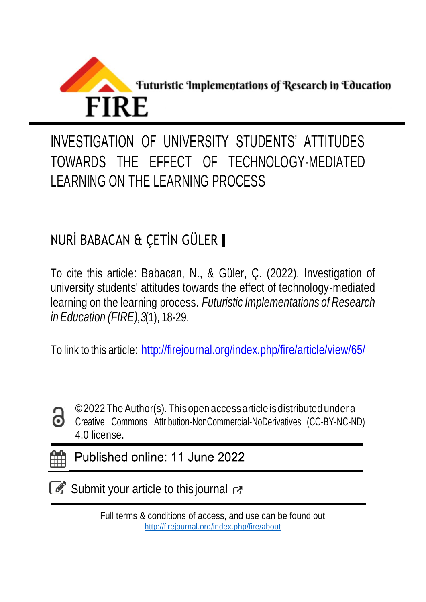

# INVESTIGATION OF UNIVERSITY STUDENTS' ATTITUDES TOWARDS THE EFFECT OF TECHNOLOGY-MEDIATED LEARNING ON THE LEARNING PROCESS

# NURİ BABACAN & ÇETİN GÜLER

To cite this article: Babacan, N., & Güler, Ç. (2022). Investigation of university students' attitudes towards the effect of technology-mediated learning on the learning process. *Futuristic Implementations of Research in Education (FIRE),3*(1), 18-29.

To link to this article: <http://firejournal.org/index.php/fire/article/view/65/>



©2022 TheAuthor(s). Thisopen accessarticle isdistributed undera

Creative Commons Attribution-NonCommercial-NoDerivatives (CC-BY-NC-ND) 4.0 license.

Published online: 11 June 2022

Submit your article to this journal  $\sigma$ 

Full terms & conditions of access, and use can be found out <http://firejournal.org/index.php/fire/about>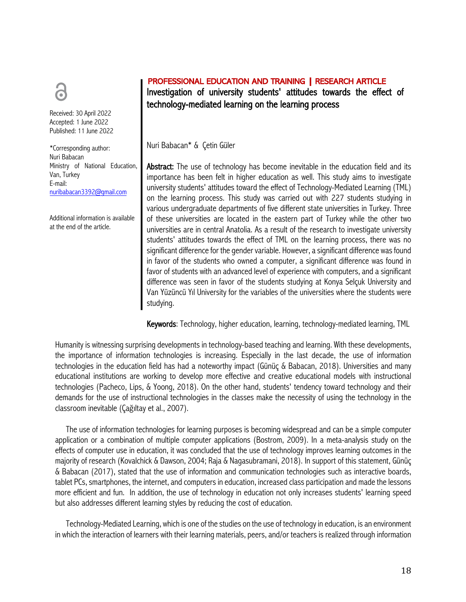Received: 30 April 2022 Accepted: 1 June 2022 Published: 11 June 2022

\*Corresponding author: Nuri Babacan Ministry of National Education, Van, Turkey E-mail: nuribabacan3392@gmail.com

Additional information is available at the end of the article.

# PROFESSIONAL EDUCATION AND TRAINING | RESEARCH ARTICLE Investigation of university students' attitudes towards the effect of technology-mediated learning on the learning process

Nuri Babacan\* & Çetin Güler

Abstract: The use of technology has become inevitable in the education field and its importance has been felt in higher education as well. This study aims to investigate university students' attitudes toward the effect of Technology-Mediated Learning (TML) on the learning process. This study was carried out with 227 students studying in various undergraduate departments of five different state universities in Turkey. Three of these universities are located in the eastern part of Turkey while the other two universities are in central Anatolia. As a result of the research to investigate university students' attitudes towards the effect of TML on the learning process, there was no significant difference for the gender variable. However, a significant difference was found in favor of the students who owned a computer, a significant difference was found in favor of students with an advanced level of experience with computers, and a significant difference was seen in favor of the students studying at Konya Selçuk University and Van Yüzüncü Yıl University for the variables of the universities where the students were studying.

Keywords: Technology, higher education, learning, technology-mediated learning, TML

Humanity is witnessing surprising developments in technology-based teaching and learning. With these developments, the importance of information technologies is increasing. Especially in the last decade, the use of information technologies in the education field has had a noteworthy impact (Günüç & Babacan, 2018). Universities and many educational institutions are working to develop more effective and creative educational models with instructional technologies (Pacheco, Lips, & Yoong, 2018). On the other hand, students' tendency toward technology and their demands for the use of instructional technologies in the classes make the necessity of using the technology in the classroom inevitable (Çağıltay et al., 2007).

The use of information technologies for learning purposes is becoming widespread and can be a simple computer application or a combination of multiple computer applications (Bostrom, 2009). In a meta-analysis study on the effects of computer use in education, it was concluded that the use of technology improves learning outcomes in the majority of research (Kovalchick & Dawson, 2004; Raja & Nagasubramani, 2018). In support of this statement, Günüç & Babacan (2017), stated that the use of information and communication technologies such as interactive boards, tablet PCs, smartphones, the internet, and computers in education, increased class participation and made the lessons more efficient and fun. In addition, the use of technology in education not only increases students' learning speed but also addresses different learning styles by reducing the cost of education.

Technology-Mediated Learning, which is one of the studies on the use of technology in education, is an environment in which the interaction of learners with their learning materials, peers, and/or teachers is realized through information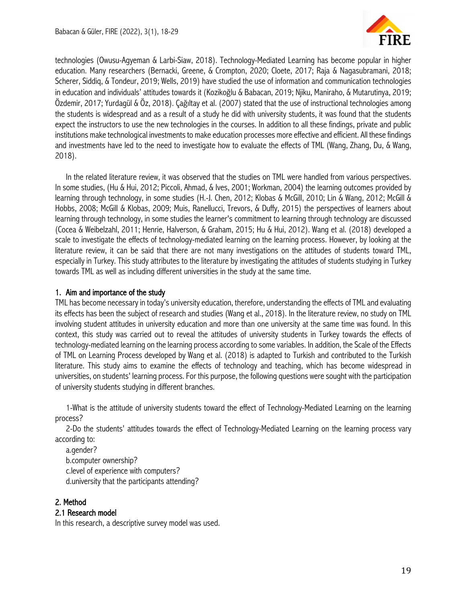

technologies (Owusu-Agyeman & Larbi-Siaw, 2018). Technology-Mediated Learning has become popular in higher education. Many researchers (Bernacki, Greene, & Crompton, 2020; Cloete, 2017; Raja & Nagasubramani, 2018; Scherer, Siddiq, & Tondeur, 2019; Wells, 2019) have studied the use of information and communication technologies in education and individuals' attitudes towards it (Kozikoğlu & Babacan, 2019; Njiku, Maniraho, & Mutarutinya, 2019; Özdemir, 2017; Yurdagül & Öz, 2018). Çağıltay et al. (2007) stated that the use of instructional technologies among the students is widespread and as a result of a study he did with university students, it was found that the students expect the instructors to use the new technologies in the courses. In addition to all these findings, private and public institutions make technological investments to make education processes more effective and efficient. All these findings and investments have led to the need to investigate how to evaluate the effects of TML (Wang, Zhang, Du, & Wang, 2018).

In the related literature review, it was observed that the studies on TML were handled from various perspectives. In some studies, (Hu & Hui, 2012; Piccoli, Ahmad, & Ives, 2001; Workman, 2004) the learning outcomes provided by learning through technology, in some studies (H.-J. Chen, 2012; Klobas & McGill, 2010; Lin & Wang, 2012; McGill & Hobbs, 2008; McGill & Klobas, 2009; Muis, Ranellucci, Trevors, & Duffy, 2015) the perspectives of learners about learning through technology, in some studies the learner's commitment to learning through technology are discussed (Cocea & Weibelzahl, 2011; Henrie, Halverson, & Graham, 2015; Hu & Hui, 2012). Wang et al. (2018) developed a scale to investigate the effects of technology-mediated learning on the learning process. However, by looking at the literature review, it can be said that there are not many investigations on the attitudes of students toward TML, especially in Turkey. This study attributes to the literature by investigating the attitudes of students studying in Turkey towards TML as well as including different universities in the study at the same time.

#### 1. Aim and importance of the study

TML has become necessary in today's university education, therefore, understanding the effects of TML and evaluating its effects has been the subject of research and studies (Wang et al., 2018). In the literature review, no study on TML involving student attitudes in university education and more than one university at the same time was found. In this context, this study was carried out to reveal the attitudes of university students in Turkey towards the effects of technology-mediated learning on the learning process according to some variables. In addition, the Scale of the Effects of TML on Learning Process developed by Wang et al. (2018) is adapted to Turkish and contributed to the Turkish literature. This study aims to examine the effects of technology and teaching, which has become widespread in universities, on students' learning process. For this purpose, the following questions were sought with the participation of university students studying in different branches.

1-What is the attitude of university students toward the effect of Technology-Mediated Learning on the learning process?

2-Do the students' attitudes towards the effect of Technology-Mediated Learning on the learning process vary according to:

a.gender? b.computer ownership? c.level of experience with computers? d.university that the participants attending?

# 2. Method

#### 2.1 Research model

In this research, a descriptive survey model was used.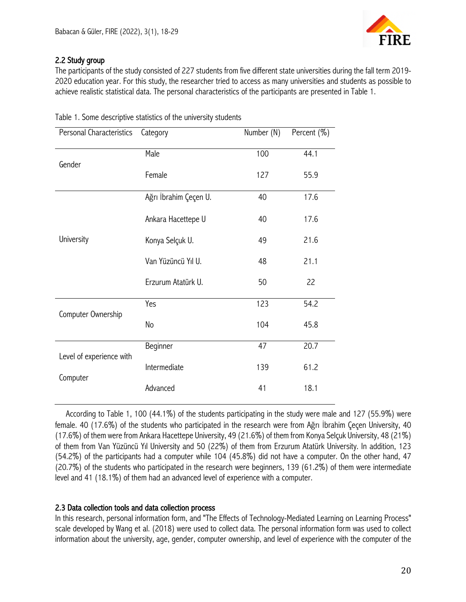

### 2.2 Study group

The participants of the study consisted of 227 students from five different state universities during the fall term 2019- 2020 education year. For this study, the researcher tried to access as many universities and students as possible to achieve realistic statistical data. The personal characteristics of the participants are presented in Table 1.

| Personal Characteristics | Category              | Number (N) | Percent (%) |
|--------------------------|-----------------------|------------|-------------|
| Gender                   | Male                  | 100        | 44.1        |
|                          | Female                | 127        | 55.9        |
|                          | Ağrı İbrahim Çeçen U. | 40         | 17.6        |
|                          | Ankara Hacettepe U    | 40         | 17.6        |
| University               | Konya Selçuk U.       | 49         | 21.6        |
|                          | Van Yüzüncü Yıl U.    | 48         | 21.1        |
|                          | Erzurum Atatürk U.    | 50         | 22          |
| Computer Ownership       | Yes                   | 123        | 54.2        |
|                          | No                    | 104        | 45.8        |
| Level of experience with | Beginner              | 47         | 20.7        |
| Computer                 | Intermediate          | 139        | 61.2        |
|                          | Advanced              | 41         | 18.1        |

Table 1. Some descriptive statistics of the university students

According to Table 1, 100 (44.1%) of the students participating in the study were male and 127 (55.9%) were female. 40 (17.6%) of the students who participated in the research were from Ağrı İbrahim Çeçen University, 40 (17.6%) of them were from Ankara Hacettepe University, 49 (21.6%) of them from Konya Selçuk University, 48 (21%) of them from Van Yüzüncü Yıl University and 50 (22%) of them from Erzurum Atatürk University. In addition, 123 (54.2%) of the participants had a computer while 104 (45.8%) did not have a computer. On the other hand, 47 (20.7%) of the students who participated in the research were beginners, 139 (61.2%) of them were intermediate level and 41 (18.1%) of them had an advanced level of experience with a computer.

# 2.3 Data collection tools and data collection process

In this research, personal information form, and "The Effects of Technology-Mediated Learning on Learning Process" scale developed by Wang et al. (2018) were used to collect data. The personal information form was used to collect information about the university, age, gender, computer ownership, and level of experience with the computer of the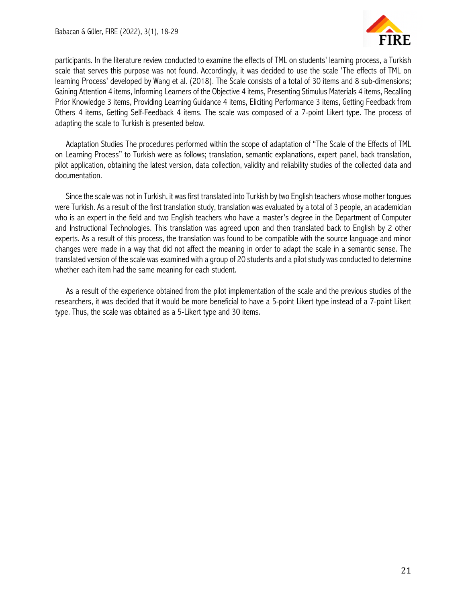

participants. In the literature review conducted to examine the effects of TML on students' learning process, a Turkish scale that serves this purpose was not found. Accordingly, it was decided to use the scale 'The effects of TML on learning Process' developed by Wang et al. (2018). The Scale consists of a total of 30 items and 8 sub-dimensions; Gaining Attention 4 items, Informing Learners of the Objective 4 items, Presenting Stimulus Materials 4 items, Recalling Prior Knowledge 3 items, Providing Learning Guidance 4 items, Eliciting Performance 3 items, Getting Feedback from Others 4 items, Getting Self-Feedback 4 items. The scale was composed of a 7-point Likert type. The process of adapting the scale to Turkish is presented below.

Adaptation Studies The procedures performed within the scope of adaptation of "The Scale of the Effects of TML on Learning Process" to Turkish were as follows; translation, semantic explanations, expert panel, back translation, pilot application, obtaining the latest version, data collection, validity and reliability studies of the collected data and documentation.

Since the scale was not in Turkish, it was first translated into Turkish by two English teachers whose mother tongues were Turkish. As a result of the first translation study, translation was evaluated by a total of 3 people, an academician who is an expert in the field and two English teachers who have a master's degree in the Department of Computer and Instructional Technologies. This translation was agreed upon and then translated back to English by 2 other experts. As a result of this process, the translation was found to be compatible with the source language and minor changes were made in a way that did not affect the meaning in order to adapt the scale in a semantic sense. The translated version of the scale was examined with a group of 20 students and a pilot study was conducted to determine whether each item had the same meaning for each student.

As a result of the experience obtained from the pilot implementation of the scale and the previous studies of the researchers, it was decided that it would be more beneficial to have a 5-point Likert type instead of a 7-point Likert type. Thus, the scale was obtained as a 5-Likert type and 30 items.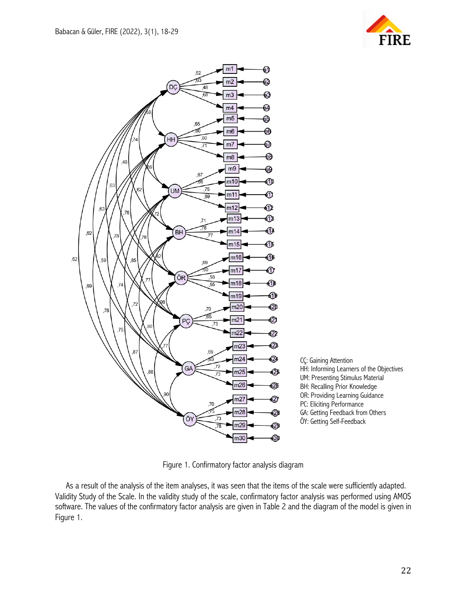



Figure 1. Confirmatory factor analysis diagram

As a result of the analysis of the item analyses, it was seen that the items of the scale were sufficiently adapted. Validity Study of the Scale. In the validity study of the scale, confirmatory factor analysis was performed using AMOS software. The values of the confirmatory factor analysis are given in Table 2 and the diagram of the model is given in Figure 1.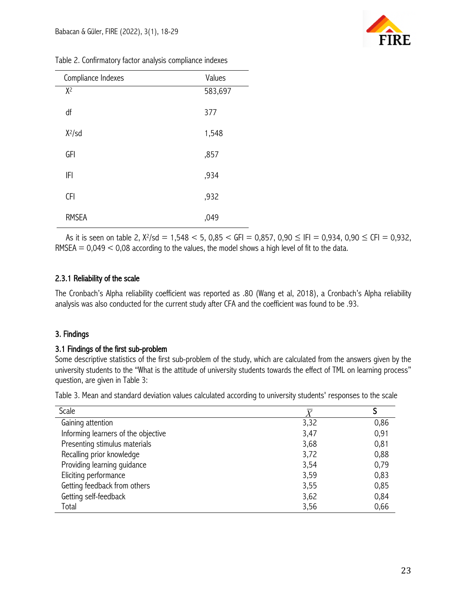| Table 2. Confirmatory factor analysis compliance indexes |  |  |
|----------------------------------------------------------|--|--|
|                                                          |  |  |

| Compliance Indexes | Values  |
|--------------------|---------|
| $X^2$              | 583,697 |
| df                 | 377     |
| $X^2$ /sd          | 1,548   |
| GFI                | ,857    |
| IFI                | ,934    |
| <b>CFI</b>         | ,932    |
| <b>RMSEA</b>       | ,049    |

As it is seen on table 2,  $X^2$ /sd = 1,548 < 5, 0,85 < GFI = 0,857, 0,90  $\leq$  IFI = 0,934, 0,90  $\leq$  CFI = 0,932,  $RMSEA = 0,049 < 0,08$  according to the values, the model shows a high level of fit to the data.

# 2.3.1 Reliability of the scale

The Cronbach's Alpha reliability coefficient was reported as .80 (Wang et al, 2018), a Cronbach's Alpha reliability analysis was also conducted for the current study after CFA and the coefficient was found to be .93.

# 3. Findings

#### 3.1 Findings of the first sub-problem

Some descriptive statistics of the first sub-problem of the study, which are calculated from the answers given by the university students to the "What is the attitude of university students towards the effect of TML on learning process" question, are given in Table 3:

Table 3. Mean and standard deviation values calculated according to university students' responses to the scale

| Scale                               |      |      |
|-------------------------------------|------|------|
| Gaining attention                   | 3,32 | 0,86 |
| Informing learners of the objective | 3,47 | 0,91 |
| Presenting stimulus materials       | 3,68 | 0,81 |
| Recalling prior knowledge           | 3,72 | 0,88 |
| Providing learning guidance         | 3,54 | 0,79 |
| Eliciting performance               | 3,59 | 0,83 |
| Getting feedback from others        | 3,55 | 0,85 |
| Getting self-feedback               | 3,62 | 0,84 |
| Total                               | 3,56 | 0,66 |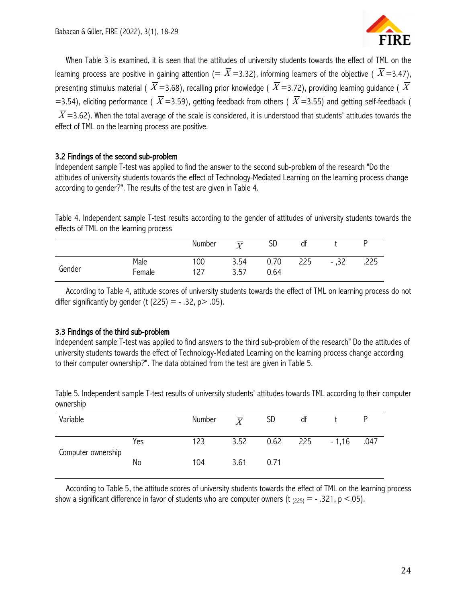

When Table 3 is examined, it is seen that the attitudes of university students towards the effect of TML on the learning process are positive in gaining attention (=  $\bar{X}$ =3.32), informing learners of the objective (  $\bar{X}$ =3.47), presenting stimulus material (  $\overline{X}$  =3.68), recalling prior knowledge (  $\overline{X}$  =3.72), providing learning guidance (  $\overline{X}$ =3.54), eliciting performance (  $\overline{X}$  =3.59), getting feedback from others (  $\overline{X}$  =3.55) and getting self-feedback (  $\overline{X}$ =3.62). When the total average of the scale is considered, it is understood that students' attitudes towards the effect of TML on the learning process are positive.

#### 3.2 Findings of the second sub-problem

Independent sample T-test was applied to find the answer to the second sub-problem of the research "Do the attitudes of university students towards the effect of Technology-Mediated Learning on the learning process change according to gender?". The results of the test are given in Table 4.

Table 4. Independent sample T-test results according to the gender of attitudes of university students towards the effects of TML on the learning process

|        |                | Number    | $\overline{\mathbf{v}}$ | SD           | đt  |        |      |
|--------|----------------|-----------|-------------------------|--------------|-----|--------|------|
| Gender | Male<br>Female | 00<br>-27 | 3.54<br>3.57            | 0.70<br>0.64 | 225 | $-.32$ | .225 |

According to Table 4, attitude scores of university students towards the effect of TML on learning process do not differ significantly by gender (t  $(225) = -0.32$ , p $>0.05$ ).

#### 3.3 Findings of the third sub-problem

Independent sample T-test was applied to find answers to the third sub-problem of the research" Do the attitudes of university students towards the effect of Technology-Mediated Learning on the learning process change according to their computer ownership?". The data obtained from the test are given in Table 5.

Table 5. Independent sample T-test results of university students' attitudes towards TML according to their computer ownership

| Variable           |     | Number | $\overline{Y}$ | SD   | df                |      |
|--------------------|-----|--------|----------------|------|-------------------|------|
| Computer ownership | Yes | 123    | 3.52           |      | $0.62$ 225 - 1,16 | .047 |
|                    | No  | 104    | 3.61           | 0.71 |                   |      |

According to Table 5, the attitude scores of university students towards the effect of TML on the learning process show a significant difference in favor of students who are computer owners (t  $_{(225)} = -0.321$ , p <.05).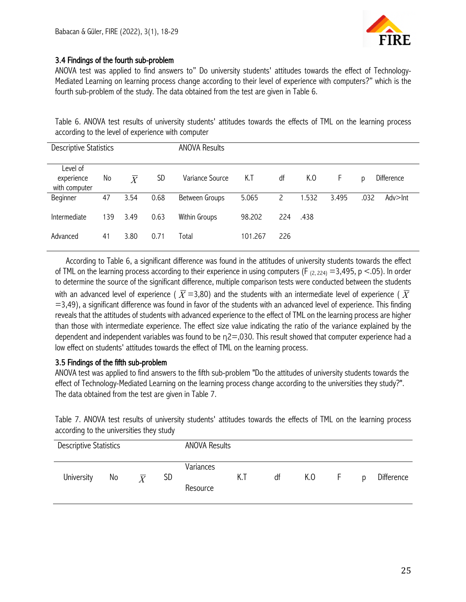

# 3.4 Findings of the fourth sub-problem

ANOVA test was applied to find answers to" Do university students' attitudes towards the effect of Technology-Mediated Learning on learning process change according to their level of experience with computers?" which is the fourth sub-problem of the study. The data obtained from the test are given in Table 6.

Table 6. ANOVA test results of university students' attitudes towards the effects of TML on the learning process according to the level of experience with computer

| <b>Descriptive Statistics</b>           |     |                |      | <b>ANOVA Results</b> |         |              |       |       |                 |
|-----------------------------------------|-----|----------------|------|----------------------|---------|--------------|-------|-------|-----------------|
| Level of<br>experience<br>with computer | No  | $\overline{Y}$ | SD   | Variance Source      | K.T     | df           | K.O   | F     | Difference<br>p |
| Beginner                                | 47  | 3.54           | 0.68 | Between Groups       | 5.065   | $\mathsf{S}$ | 1.532 | 3.495 | .032<br>Adv>Int |
| Intermediate                            | 139 | 3.49           | 0.63 | Within Groups        | 98.202  | 224          | .438  |       |                 |
| Advanced                                | 41  | 3.80           | 0.71 | Total                | 101.267 | 226          |       |       |                 |

According to Table 6, a significant difference was found in the attitudes of university students towards the effect of TML on the learning process according to their experience in using computers (F  $_{(2, 224)} = 3,495$ , p <.05). In order to determine the source of the significant difference, multiple comparison tests were conducted between the students with an advanced level of experience (  $\overline{X}$  =3,80) and the students with an intermediate level of experience (  $\overline{X}$  $=$  3,49), a significant difference was found in favor of the students with an advanced level of experience. This finding reveals that the attitudes of students with advanced experience to the effect of TML on the learning process are higher than those with intermediate experience. The effect size value indicating the ratio of the variance explained by the dependent and independent variables was found to be η2=,030. This result showed that computer experience had a low effect on students' attitudes towards the effect of TML on the learning process.

#### 3.5 Findings of the fifth sub-problem

ANOVA test was applied to find answers to the fifth sub-problem "Do the attitudes of university students towards the effect of Technology-Mediated Learning on the learning process change according to the universities they study?". The data obtained from the test are given in Table 7.

Table 7. ANOVA test results of university students' attitudes towards the effects of TML on the learning process according to the universities they study

| <b>Descriptive Statistics</b> |    |                |           | <b>ANOVA Results</b>  |     |    |     |       |   |            |
|-------------------------------|----|----------------|-----------|-----------------------|-----|----|-----|-------|---|------------|
| University                    | No | $\overline{Y}$ | <b>SD</b> | Variances<br>Resource | K.T | df | K.O | i Hil | D | Difference |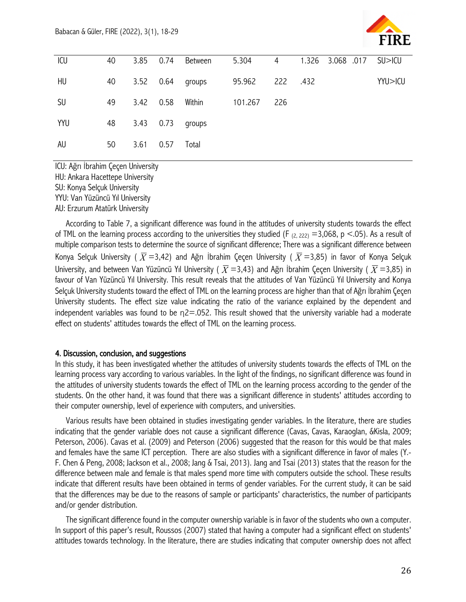

| ICU       | 40 |      |                    | 3.85 0.74 Between       | 5.304   | $\overline{4}$ | 1.326 3.068 .017 SU>ICU |         |
|-----------|----|------|--------------------|-------------------------|---------|----------------|-------------------------|---------|
| HU        | 40 |      |                    | 3.52 0.64 groups 95.962 |         | 222 .432       |                         | YYU>ICU |
| <b>SU</b> | 49 |      | 3.42  0.58  Within |                         | 101.267 | 226            |                         |         |
| YYU       | 48 |      |                    | 3.43  0.73  groups      |         |                |                         |         |
| <b>AU</b> | 50 | 3.61 | 0.57               | Total                   |         |                |                         |         |

ICU: Ağrı İbrahim Çeçen University HU: Ankara Hacettepe University SU: Konya Selçuk University YYU: Van Yüzüncü Yıl University AU: Erzurum Atatürk University

According to Table 7, a significant difference was found in the attitudes of university students towards the effect of TML on the learning process according to the universities they studied (F  $_{(2, 222)}$  =3,068, p <.05). As a result of multiple comparison tests to determine the source of significant difference; There was a significant difference between Konya Selçuk University (  $\overline{X}$  =3,42) and Ağrı İbrahim Çeçen University (  $\overline{X}$  =3,85) in favor of Konya Selçuk University, and between Van Yüzüncü Yıl University (  $\overline{X}$  =3,43) and Ağrı İbrahim Çeçen University (  $\overline{X}$  =3,85) in favour of Van Yüzüncü Yıl University. This result reveals that the attitudes of Van Yüzüncü Yıl University and Konya Selçuk University students toward the effect of TML on the learning process are higher than that of Ağrı İbrahim Çeçen University students. The effect size value indicating the ratio of the variance explained by the dependent and independent variables was found to be  $n=2052$ . This result showed that the university variable had a moderate effect on students' attitudes towards the effect of TML on the learning process.

#### 4. Discussion, conclusion, and suggestions

In this study, it has been investigated whether the attitudes of university students towards the effects of TML on the learning process vary according to various variables. In the light of the findings, no significant difference was found in the attitudes of university students towards the effect of TML on the learning process according to the gender of the students. On the other hand, it was found that there was a significant difference in students' attitudes according to their computer ownership, level of experience with computers, and universities.

Various results have been obtained in studies investigating gender variables. In the literature, there are studies indicating that the gender variable does not cause a significant difference (Cavas, Cavas, Karaoglan, &Kisla, 2009; Peterson, 2006). Cavas et al. (2009) and Peterson (2006) suggested that the reason for this would be that males and females have the same ICT perception. There are also studies with a significant difference in favor of males (Y.- F. Chen & Peng, 2008; Jackson et al., 2008; Jang & Tsai, 2013). Jang and Tsai (2013) states that the reason for the difference between male and female is that males spend more time with computers outside the school. These results indicate that different results have been obtained in terms of gender variables. For the current study, it can be said that the differences may be due to the reasons of sample or participants' characteristics, the number of participants and/or gender distribution.

The significant difference found in the computer ownership variable is in favor of the students who own a computer. In support of this paper's result, Roussos (2007) stated that having a computer had a significant effect on students' attitudes towards technology. In the literature, there are studies indicating that computer ownership does not affect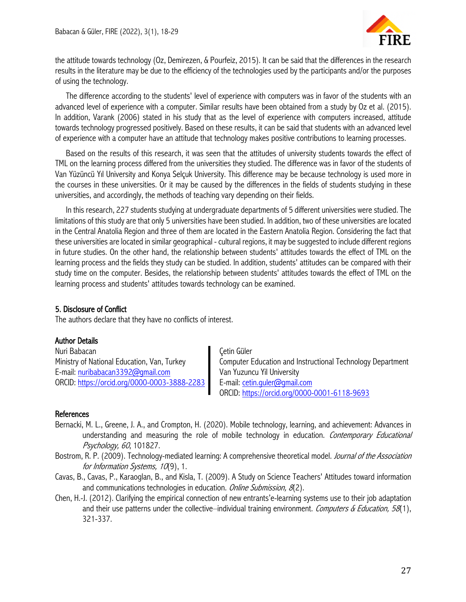

the attitude towards technology (Oz, Demirezen, & Pourfeiz, 2015). It can be said that the differences in the research results in the literature may be due to the efficiency of the technologies used by the participants and/or the purposes of using the technology.

The difference according to the students' level of experience with computers was in favor of the students with an advanced level of experience with a computer. Similar results have been obtained from a study by Oz et al. (2015). In addition, Varank (2006) stated in his study that as the level of experience with computers increased, attitude towards technology progressed positively. Based on these results, it can be said that students with an advanced level of experience with a computer have an attitude that technology makes positive contributions to learning processes.

Based on the results of this research, it was seen that the attitudes of university students towards the effect of TML on the learning process differed from the universities they studied. The difference was in favor of the students of Van Yüzüncü Yıl University and Konya Selçuk University. This difference may be because technology is used more in the courses in these universities. Or it may be caused by the differences in the fields of students studying in these universities, and accordingly, the methods of teaching vary depending on their fields.

In this research, 227 students studying at undergraduate departments of 5 different universities were studied. The limitations of this study are that only 5 universities have been studied. In addition, two of these universities are located in the Central Anatolia Region and three of them are located in the Eastern Anatolia Region. Considering the fact that these universities are located in similar geographical - cultural regions, it may be suggested to include different regions in future studies. On the other hand, the relationship between students' attitudes towards the effect of TML on the learning process and the fields they study can be studied. In addition, students' attitudes can be compared with their study time on the computer. Besides, the relationship between students' attitudes towards the effect of TML on the learning process and students' attitudes towards technology can be examined.

# 5. Disclosure of Conflict

The authors declare that they have no conflicts of interest.

#### Author Details

Nuri Babacan **Zetin Güler** Cetin Güler E-mail: nuribabacan3392@gmail.com Van Yuzuncu Yil University ORCID: https://orcid.org/0000-0003-3888-2283 E-mail: cetin.guler@gmail.com

Ministry of National Education, Van, Turkey **Computer Education and Instructional Technology Department** ORCID: https://orcid.org/0000-0001-6118-9693

# **References**

- Bernacki, M. L., Greene, J. A., and Crompton, H. (2020). Mobile technology, learning, and achievement: Advances in understanding and measuring the role of mobile technology in education. Contemporary Educational Psychology, 60, 101827.
- Bostrom, R. P. (2009). Technology-mediated learning: A comprehensive theoretical model. *Journal of the Association* for Information Systems, 10(9), 1.
- Cavas, B., Cavas, P., Karaoglan, B., and Kisla, T. (2009). A Study on Science Teachers' Attitudes toward information and communications technologies in education. Online Submission, 8(2).
- Chen, H.-J. (2012). Clarifying the empirical connection of new entrants'e-learning systems use to their job adaptation and their use patterns under the collective–individual training environment. Computers & Education, 58(1), 321-337.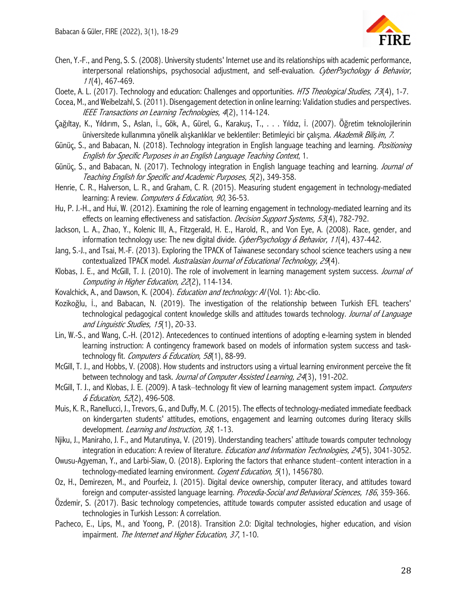

- Chen, Y.-F., and Peng, S. S. (2008). University students' Internet use and its relationships with academic performance, interpersonal relationships, psychosocial adjustment, and self-evaluation. CyberPsychology & Behavior, <sup>11</sup>(4), 467-469.
- Cloete, A. L. (2017). Technology and education: Challenges and opportunities. HTS Theological Studies, 73(4), 1-7.

Cocea, M., and Weibelzahl, S. (2011). Disengagement detection in online learning: Validation studies and perspectives. IEEE Transactions on Learning Technologies, 4(2), 114-124.

- Çağıltay, K., Yıldırım, S., Aslan, İ., Gök, A., Gürel, G., Karakuş, T., . . . Yıldız, İ. (2007). Öğretim teknolojilerinin üniversitede kullanımına yönelik alışkanlıklar ve beklentiler: Betimleyici bir çalışma. Akademik Bili*ş*im, 7.
- Günüç, S., and Babacan, N. (2018). Technology integration in English language teaching and learning. *Positioning* English for Specific Purposes in an English Language Teaching Context, 1.
- Günüç, S., and Babacan, N. (2017). Technology integration in English language teaching and learning. *Journal of* Teaching English for Specific and Academic Purposes, 5(2), 349-358.
- Henrie, C. R., Halverson, L. R., and Graham, C. R. (2015). Measuring student engagement in technology-mediated learning: A review. Computers & Education, 90, 36-53.
- Hu, P. J.-H., and Hui, W. (2012). Examining the role of learning engagement in technology-mediated learning and its effects on learning effectiveness and satisfaction. *Decision Support Systems, 53*(4), 782-792.
- Jackson, L. A., Zhao, Y., Kolenic III, A., Fitzgerald, H. E., Harold, R., and Von Eye, A. (2008). Race, gender, and information technology use: The new digital divide. CyberPsychology & Behavior, 11(4), 437-442.
- Jang, S.-J., and Tsai, M.-F. (2013). Exploring the TPACK of Taiwanese secondary school science teachers using a new contextualized TPACK model. Australasian Journal of Educational Technology, 29(4).
- Klobas, J. E., and McGill, T. J. (2010). The role of involvement in learning management system success. Journal of Computing in Higher Education, 22(2), 114-134.
- Kovalchick, A., and Dawson, K. (2004). *Education and technology: Al* (Vol. 1): Abc-clio.
- Kozikoğlu, İ., and Babacan, N. (2019). The investigation of the relationship between Turkish EFL teachers' technological pedagogical content knowledge skills and attitudes towards technology. Journal of Language and Linguistic Studies, 15(1), 20-33.
- Lin, W.-S., and Wang, C.-H. (2012). Antecedences to continued intentions of adopting e-learning system in blended learning instruction: A contingency framework based on models of information system success and tasktechnology fit. Computers & Education, 58(1), 88-99.
- McGill, T. J., and Hobbs, V. (2008). How students and instructors using a virtual learning environment perceive the fit between technology and task. Journal of Computer Assisted Learning, 24(3), 191-202.
- McGill, T. J., and Klobas, J. E. (2009). A task–technology fit view of learning management system impact. Computers & Education, 52(2), 496-508.
- Muis, K. R., Ranellucci, J., Trevors, G., and Duffy, M. C. (2015). The effects of technology-mediated immediate feedback on kindergarten students' attitudes, emotions, engagement and learning outcomes during literacy skills development. Learning and Instruction, 38, 1-13.
- Njiku, J., Maniraho, J. F., and Mutarutinya, V. (2019). Understanding teachers' attitude towards computer technology integration in education: A review of literature. *Education and Information Technologies, 24*(5), 3041-3052.
- Owusu-Agyeman, Y., and Larbi-Siaw, O. (2018). Exploring the factors that enhance student–content interaction in a technology-mediated learning environment. Cogent Education, 5(1), 1456780.
- Oz, H., Demirezen, M., and Pourfeiz, J. (2015). Digital device ownership, computer literacy, and attitudes toward foreign and computer-assisted language learning. *Procedia-Social and Behavioral Sciences, 186*, 359-366.
- Özdemir, S. (2017). Basic technology competencies, attitude towards computer assisted education and usage of technologies in Turkish Lesson: A correlation.
- Pacheco, E., Lips, M., and Yoong, P. (2018). Transition 2.0: Digital technologies, higher education, and vision impairment. The Internet and Higher Education, 37, 1-10.